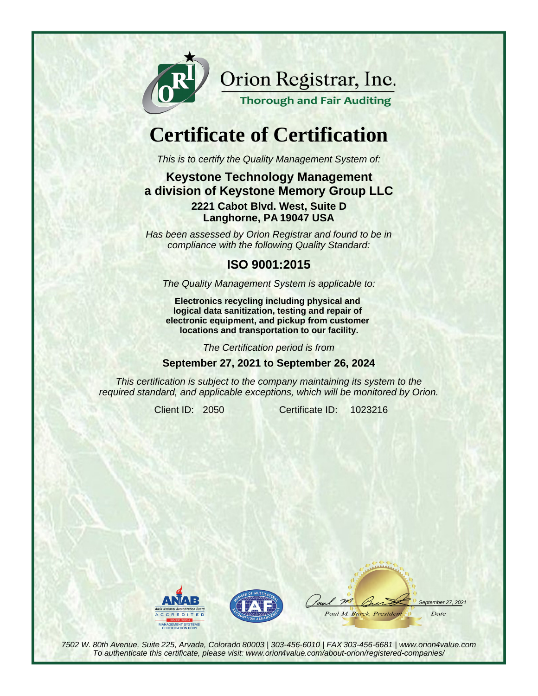

Orion Registrar, Inc.

**Thorough and Fair Auditing** 

# **Certificate of Certification**

This is to certify the Quality Management System of:

#### **Keystone Technology Management a division of Keystone Memory Group LLC 2221 Cabot Blvd. West, Suite D Langhorne, PA 19047 USA**

Has been assessed by Orion Registrar and found to be in compliance with the following Quality Standard:

### **ISO 9001:2015**

The Quality Management System is applicable to:

**Electronics recycling including physical and logical data sanitization, testing and repair of electronic equipment, and pickup from customer locations and transportation to our facility.**

The Certification period is from

**September 27, 2021 to September 26, 2024**

This certification is subject to the company maintaining its system to the required standard, and applicable exceptions, which will be monitored by Orion.

Client ID: 2050 Certificate ID: 1023216





 $m$ tember 27, 2021 Paul M. Burck, President Date

7502 W. 80th Avenue, Suite 225, Arvada, Colorado 80003 | 303-456-6010 | FAX 303-456-6681 | www.orion4value.com To authenticate this certificate, please visit: www.orion4value.com/about-orion/registered-companies/